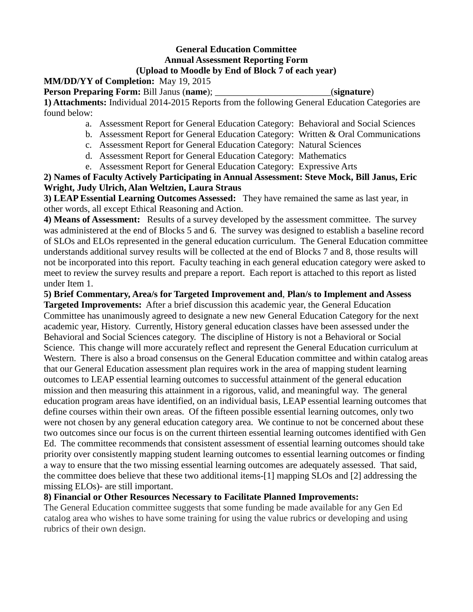# **General Education Committee Annual Assessment Reporting Form (Upload to Moodle by End of Block 7 of each year)**

# **MM/DD/YY of Completion:** May 19, 2015

**Person Preparing Form:** Bill Janus (**name**); \_\_\_\_\_\_\_\_\_\_\_\_\_\_\_\_\_\_\_\_\_\_\_\_\_(**signature**)

**1) Attachments:** Individual 2014-2015 Reports from the following General Education Categories are found below:

- a. Assessment Report for General Education Category: Behavioral and Social Sciences
- b. Assessment Report for General Education Category: Written & Oral Communications
- c. Assessment Report for General Education Category: Natural Sciences
- d. Assessment Report for General Education Category: Mathematics
- e. Assessment Report for General Education Category: Expressive Arts

**2) Names of Faculty Actively Participating in Annual Assessment: Steve Mock, Bill Janus, Eric Wright, Judy Ulrich, Alan Weltzien, Laura Straus**

**3) LEAP Essential Learning Outcomes Assessed:** They have remained the same as last year, in other words, all except Ethical Reasoning and Action.

**4) Means of Assessment:** Results of a survey developed by the assessment committee. The survey was administered at the end of Blocks 5 and 6. The survey was designed to establish a baseline record of SLOs and ELOs represented in the general education curriculum. The General Education committee understands additional survey results will be collected at the end of Blocks 7 and 8, those results will not be incorporated into this report. Faculty teaching in each general education category were asked to meet to review the survey results and prepare a report. Each report is attached to this report as listed under Item 1.

**5) Brief Commentary, Area/s for Targeted Improvement and**, **Plan/s to Implement and Assess** 

**Targeted Improvements:** After a brief discussion this academic year, the General Education Committee has unanimously agreed to designate a new new General Education Category for the next academic year, History. Currently, History general education classes have been assessed under the Behavioral and Social Sciences category. The discipline of History is not a Behavioral or Social Science. This change will more accurately reflect and represent the General Education curriculum at Western. There is also a broad consensus on the General Education committee and within catalog areas that our General Education assessment plan requires work in the area of mapping student learning outcomes to LEAP essential learning outcomes to successful attainment of the general education mission and then measuring this attainment in a rigorous, valid, and meaningful way. The general education program areas have identified, on an individual basis, LEAP essential learning outcomes that define courses within their own areas. Of the fifteen possible essential learning outcomes, only two were not chosen by any general education category area. We continue to not be concerned about these two outcomes since our focus is on the current thirteen essential learning outcomes identified with Gen Ed. The committee recommends that consistent assessment of essential learning outcomes should take priority over consistently mapping student learning outcomes to essential learning outcomes or finding a way to ensure that the two missing essential learning outcomes are adequately assessed. That said, the committee does believe that these two additional items-[1] mapping SLOs and [2] addressing the missing ELOs)- are still important.

# **8) Financial or Other Resources Necessary to Facilitate Planned Improvements:**

The General Education committee suggests that some funding be made available for any Gen Ed catalog area who wishes to have some training for using the value rubrics or developing and using rubrics of their own design.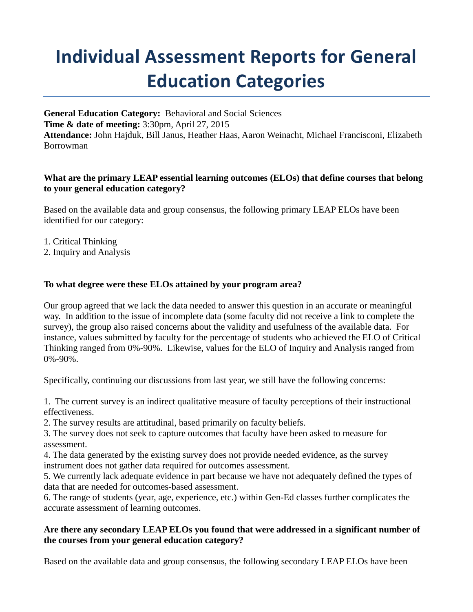# **Individual Assessment Reports for General Education Categories**

**General Education Category:** Behavioral and Social Sciences **Time & date of meeting:** 3:30pm, April 27, 2015 **Attendance:** John Hajduk, Bill Janus, Heather Haas, Aaron Weinacht, Michael Francisconi, Elizabeth Borrowman

#### **What are the primary LEAP essential learning outcomes (ELOs) that define courses that belong to your general education category?**

Based on the available data and group consensus, the following primary LEAP ELOs have been identified for our category:

- 1. Critical Thinking
- 2. Inquiry and Analysis

# **To what degree were these ELOs attained by your program area?**

Our group agreed that we lack the data needed to answer this question in an accurate or meaningful way. In addition to the issue of incomplete data (some faculty did not receive a link to complete the survey), the group also raised concerns about the validity and usefulness of the available data. For instance, values submitted by faculty for the percentage of students who achieved the ELO of Critical Thinking ranged from 0%-90%. Likewise, values for the ELO of Inquiry and Analysis ranged from 0%-90%.

Specifically, continuing our discussions from last year, we still have the following concerns:

1. The current survey is an indirect qualitative measure of faculty perceptions of their instructional effectiveness.

2. The survey results are attitudinal, based primarily on faculty beliefs.

3. The survey does not seek to capture outcomes that faculty have been asked to measure for assessment.

4. The data generated by the existing survey does not provide needed evidence, as the survey instrument does not gather data required for outcomes assessment.

5. We currently lack adequate evidence in part because we have not adequately defined the types of data that are needed for outcomes-based assessment.

6. The range of students (year, age, experience, etc.) within Gen-Ed classes further complicates the accurate assessment of learning outcomes.

# **Are there any secondary LEAP ELOs you found that were addressed in a significant number of the courses from your general education category?**

Based on the available data and group consensus, the following secondary LEAP ELOs have been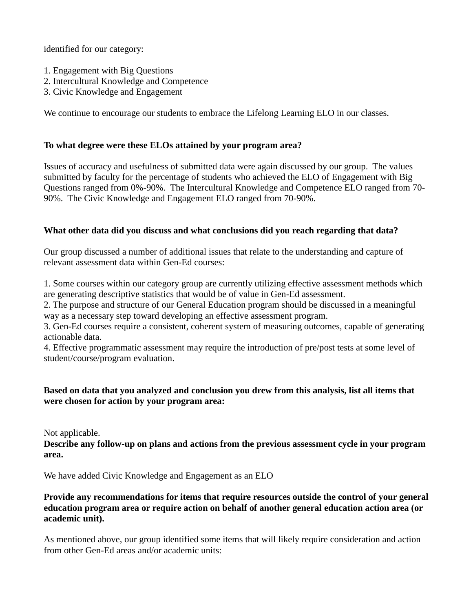identified for our category:

- 1. Engagement with Big Questions
- 2. Intercultural Knowledge and Competence
- 3. Civic Knowledge and Engagement

We continue to encourage our students to embrace the Lifelong Learning ELO in our classes.

# **To what degree were these ELOs attained by your program area?**

Issues of accuracy and usefulness of submitted data were again discussed by our group. The values submitted by faculty for the percentage of students who achieved the ELO of Engagement with Big Questions ranged from 0%-90%. The Intercultural Knowledge and Competence ELO ranged from 70- 90%. The Civic Knowledge and Engagement ELO ranged from 70-90%.

# **What other data did you discuss and what conclusions did you reach regarding that data?**

Our group discussed a number of additional issues that relate to the understanding and capture of relevant assessment data within Gen-Ed courses:

1. Some courses within our category group are currently utilizing effective assessment methods which are generating descriptive statistics that would be of value in Gen-Ed assessment.

2. The purpose and structure of our General Education program should be discussed in a meaningful way as a necessary step toward developing an effective assessment program.

3. Gen-Ed courses require a consistent, coherent system of measuring outcomes, capable of generating actionable data.

4. Effective programmatic assessment may require the introduction of pre/post tests at some level of student/course/program evaluation.

# **Based on data that you analyzed and conclusion you drew from this analysis, list all items that were chosen for action by your program area:**

Not applicable.

**Describe any follow-up on plans and actions from the previous assessment cycle in your program area.**

We have added Civic Knowledge and Engagement as an ELO

# **Provide any recommendations for items that require resources outside the control of your general education program area or require action on behalf of another general education action area (or academic unit).**

As mentioned above, our group identified some items that will likely require consideration and action from other Gen-Ed areas and/or academic units: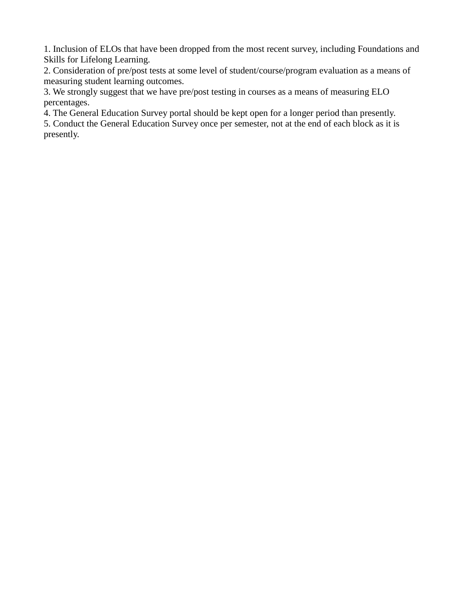1. Inclusion of ELOs that have been dropped from the most recent survey, including Foundations and Skills for Lifelong Learning.

2. Consideration of pre/post tests at some level of student/course/program evaluation as a means of measuring student learning outcomes.

3. We strongly suggest that we have pre/post testing in courses as a means of measuring ELO percentages.

4. The General Education Survey portal should be kept open for a longer period than presently.

5. Conduct the General Education Survey once per semester, not at the end of each block as it is presently.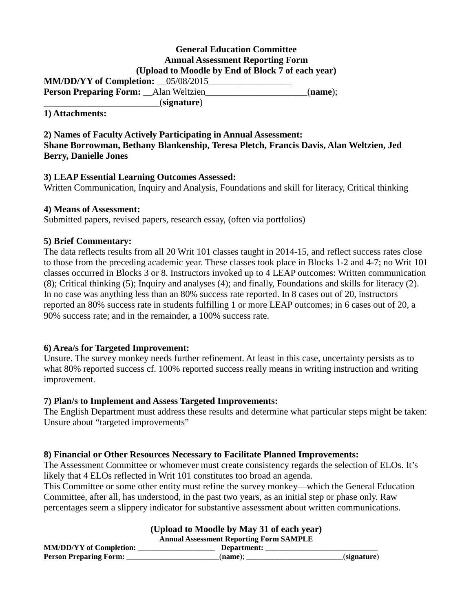#### **General Education Committee Annual Assessment Reporting Form (Upload to Moodle by End of Block 7 of each year) MM/DD/YY of Completion:**  $\qquad 05/08/2015$ **Person Preparing Form:** \_\_Alan Weltzien\_\_\_\_\_\_\_\_\_\_\_\_\_\_\_\_\_\_\_\_\_\_(**name**); \_\_\_\_\_\_\_\_\_\_\_\_\_\_\_\_\_\_\_\_\_\_\_\_\_(**signature**)

#### **1) Attachments:**

**2) Names of Faculty Actively Participating in Annual Assessment: Shane Borrowman, Bethany Blankenship, Teresa Pletch, Francis Davis, Alan Weltzien, Jed Berry, Danielle Jones**

#### **3) LEAP Essential Learning Outcomes Assessed:**

Written Communication, Inquiry and Analysis, Foundations and skill for literacy, Critical thinking

#### **4) Means of Assessment:**

Submitted papers, revised papers, research essay, (often via portfolios)

# **5) Brief Commentary:**

The data reflects results from all 20 Writ 101 classes taught in 2014-15, and reflect success rates close to those from the preceding academic year. These classes took place in Blocks 1-2 and 4-7; no Writ 101 classes occurred in Blocks 3 or 8. Instructors invoked up to 4 LEAP outcomes: Written communication (8); Critical thinking (5); Inquiry and analyses (4); and finally, Foundations and skills for literacy (2). In no case was anything less than an 80% success rate reported. In 8 cases out of 20, instructors reported an 80% success rate in students fulfilling 1 or more LEAP outcomes; in 6 cases out of 20, a 90% success rate; and in the remainder, a 100% success rate.

# **6) Area/s for Targeted Improvement:**

Unsure. The survey monkey needs further refinement. At least in this case, uncertainty persists as to what 80% reported success cf. 100% reported success really means in writing instruction and writing improvement.

#### **7) Plan/s to Implement and Assess Targeted Improvements:**

The English Department must address these results and determine what particular steps might be taken: Unsure about "targeted improvements"

# **8) Financial or Other Resources Necessary to Facilitate Planned Improvements:**

The Assessment Committee or whomever must create consistency regards the selection of ELOs. It's likely that 4 ELOs reflected in Writ 101 constitutes too broad an agenda.

This Committee or some other entity must refine the survey monkey—which the General Education Committee, after all, has understood, in the past two years, as an initial step or phase only. Raw percentages seem a slippery indicator for substantive assessment about written communications.

| (Upload to Moodle by May 31 of each year)      |             |             |
|------------------------------------------------|-------------|-------------|
| <b>Annual Assessment Reporting Form SAMPLE</b> |             |             |
| <b>MM/DD/YY</b> of Completion:                 | Department: |             |
| <b>Person Preparing Form:</b>                  | (name):     | (signature) |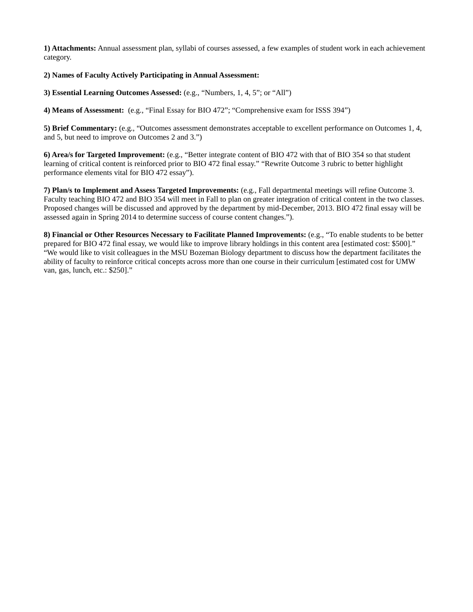**1) Attachments:** Annual assessment plan, syllabi of courses assessed, a few examples of student work in each achievement category.

#### **2) Names of Faculty Actively Participating in Annual Assessment:**

**3) Essential Learning Outcomes Assessed:** (e.g., "Numbers, 1, 4, 5"; or "All")

**4) Means of Assessment:** (e.g., "Final Essay for BIO 472"; "Comprehensive exam for ISSS 394")

**5) Brief Commentary:** (e.g., "Outcomes assessment demonstrates acceptable to excellent performance on Outcomes 1, 4, and 5, but need to improve on Outcomes 2 and 3.")

**6) Area/s for Targeted Improvement:** (e.g., "Better integrate content of BIO 472 with that of BIO 354 so that student learning of critical content is reinforced prior to BIO 472 final essay." "Rewrite Outcome 3 rubric to better highlight performance elements vital for BIO 472 essay").

**7) Plan/s to Implement and Assess Targeted Improvements:** (e.g., Fall departmental meetings will refine Outcome 3. Faculty teaching BIO 472 and BIO 354 will meet in Fall to plan on greater integration of critical content in the two classes. Proposed changes will be discussed and approved by the department by mid-December, 2013. BIO 472 final essay will be assessed again in Spring 2014 to determine success of course content changes.").

**8) Financial or Other Resources Necessary to Facilitate Planned Improvements:** (e.g., "To enable students to be better prepared for BIO 472 final essay, we would like to improve library holdings in this content area [estimated cost: \$500]." "We would like to visit colleagues in the MSU Bozeman Biology department to discuss how the department facilitates the ability of faculty to reinforce critical concepts across more than one course in their curriculum [estimated cost for UMW van, gas, lunch, etc.: \$250]."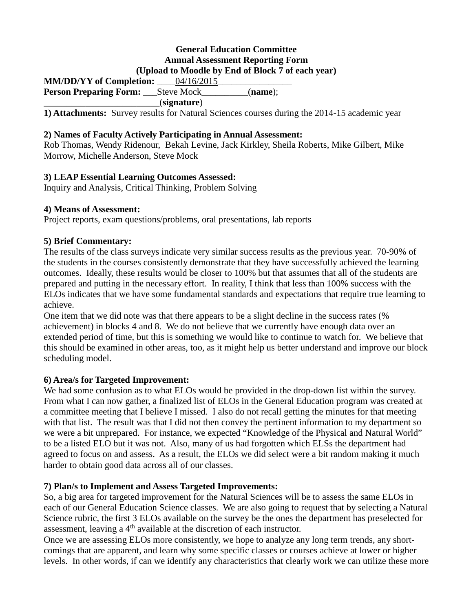# **General Education Committee Annual Assessment Reporting Form (Upload to Moodle by End of Block 7 of each year)**

**MM/DD/YY of Completion:**  $04/16/2015$ **Person Preparing Form:** \_\_\_Steve Mock\_\_\_\_\_\_\_\_\_\_(**name**); \_\_\_\_\_\_\_\_\_\_\_\_\_\_\_\_\_\_\_\_\_\_\_\_\_(**signature**)

**1) Attachments:** Survey results for Natural Sciences courses during the 2014-15 academic year

# **2) Names of Faculty Actively Participating in Annual Assessment:**

Rob Thomas, Wendy Ridenour, Bekah Levine, Jack Kirkley, Sheila Roberts, Mike Gilbert, Mike Morrow, Michelle Anderson, Steve Mock

# **3) LEAP Essential Learning Outcomes Assessed:**

Inquiry and Analysis, Critical Thinking, Problem Solving

#### **4) Means of Assessment:**

Project reports, exam questions/problems, oral presentations, lab reports

# **5) Brief Commentary:**

The results of the class surveys indicate very similar success results as the previous year. 70-90% of the students in the courses consistently demonstrate that they have successfully achieved the learning outcomes. Ideally, these results would be closer to 100% but that assumes that all of the students are prepared and putting in the necessary effort. In reality, I think that less than 100% success with the ELOs indicates that we have some fundamental standards and expectations that require true learning to achieve.

One item that we did note was that there appears to be a slight decline in the success rates (% achievement) in blocks 4 and 8. We do not believe that we currently have enough data over an extended period of time, but this is something we would like to continue to watch for. We believe that this should be examined in other areas, too, as it might help us better understand and improve our block scheduling model.

#### **6) Area/s for Targeted Improvement:**

We had some confusion as to what ELOs would be provided in the drop-down list within the survey. From what I can now gather, a finalized list of ELOs in the General Education program was created at a committee meeting that I believe I missed. I also do not recall getting the minutes for that meeting with that list. The result was that I did not then convey the pertinent information to my department so we were a bit unprepared. For instance, we expected "Knowledge of the Physical and Natural World" to be a listed ELO but it was not. Also, many of us had forgotten which ELSs the department had agreed to focus on and assess. As a result, the ELOs we did select were a bit random making it much harder to obtain good data across all of our classes.

# **7) Plan/s to Implement and Assess Targeted Improvements:**

So, a big area for targeted improvement for the Natural Sciences will be to assess the same ELOs in each of our General Education Science classes. We are also going to request that by selecting a Natural Science rubric, the first 3 ELOs available on the survey be the ones the department has preselected for assessment, leaving a 4th available at the discretion of each instructor.

Once we are assessing ELOs more consistently, we hope to analyze any long term trends, any shortcomings that are apparent, and learn why some specific classes or courses achieve at lower or higher levels. In other words, if can we identify any characteristics that clearly work we can utilize these more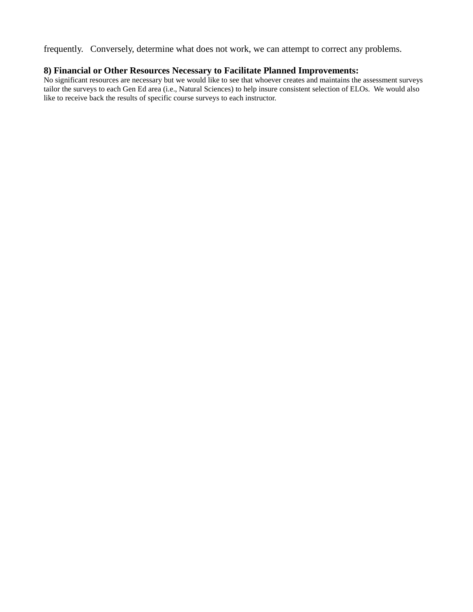frequently. Conversely, determine what does not work, we can attempt to correct any problems.

# **8) Financial or Other Resources Necessary to Facilitate Planned Improvements:**

No significant resources are necessary but we would like to see that whoever creates and maintains the assessment surveys tailor the surveys to each Gen Ed area (i.e., Natural Sciences) to help insure consistent selection of ELOs. We would also like to receive back the results of specific course surveys to each instructor.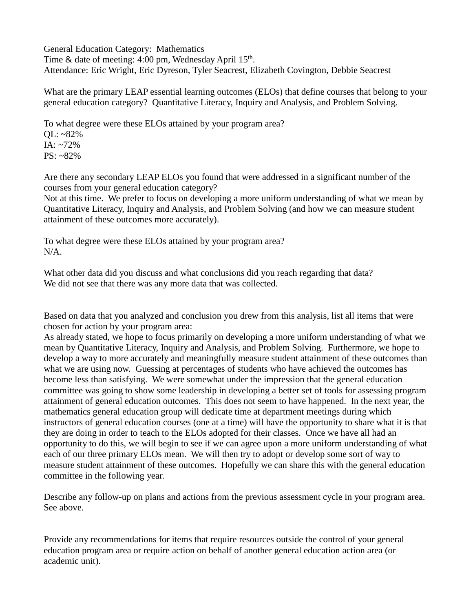General Education Category: Mathematics Time & date of meeting:  $4:00 \text{ pm}$ , Wednesday April  $15^{\text{th}}$ . Attendance: Eric Wright, Eric Dyreson, Tyler Seacrest, Elizabeth Covington, Debbie Seacrest

What are the primary LEAP essential learning outcomes (ELOs) that define courses that belong to your general education category? Quantitative Literacy, Inquiry and Analysis, and Problem Solving.

To what degree were these ELOs attained by your program area? QL: ~82% IA: ~72%  $PS: ~82\%$ 

Are there any secondary LEAP ELOs you found that were addressed in a significant number of the courses from your general education category?

Not at this time. We prefer to focus on developing a more uniform understanding of what we mean by Quantitative Literacy, Inquiry and Analysis, and Problem Solving (and how we can measure student attainment of these outcomes more accurately).

To what degree were these ELOs attained by your program area? N/A.

What other data did you discuss and what conclusions did you reach regarding that data? We did not see that there was any more data that was collected.

Based on data that you analyzed and conclusion you drew from this analysis, list all items that were chosen for action by your program area:

As already stated, we hope to focus primarily on developing a more uniform understanding of what we mean by Quantitative Literacy, Inquiry and Analysis, and Problem Solving. Furthermore, we hope to develop a way to more accurately and meaningfully measure student attainment of these outcomes than what we are using now. Guessing at percentages of students who have achieved the outcomes has become less than satisfying. We were somewhat under the impression that the general education committee was going to show some leadership in developing a better set of tools for assessing program attainment of general education outcomes. This does not seem to have happened. In the next year, the mathematics general education group will dedicate time at department meetings during which instructors of general education courses (one at a time) will have the opportunity to share what it is that they are doing in order to teach to the ELOs adopted for their classes. Once we have all had an opportunity to do this, we will begin to see if we can agree upon a more uniform understanding of what each of our three primary ELOs mean. We will then try to adopt or develop some sort of way to measure student attainment of these outcomes. Hopefully we can share this with the general education committee in the following year.

Describe any follow-up on plans and actions from the previous assessment cycle in your program area. See above.

Provide any recommendations for items that require resources outside the control of your general education program area or require action on behalf of another general education action area (or academic unit).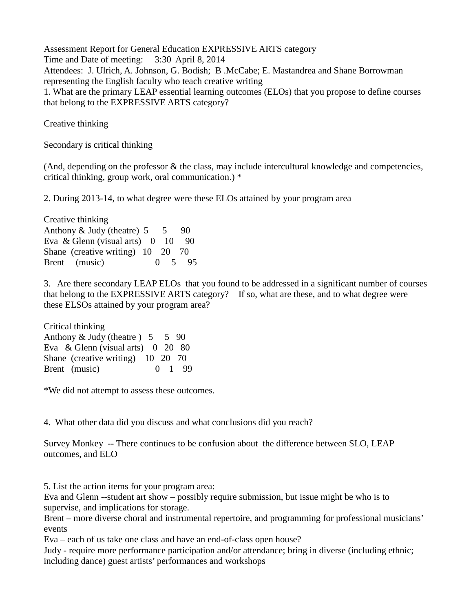Assessment Report for General Education EXPRESSIVE ARTS category Time and Date of meeting: 3:30 April 8, 2014 Attendees: J. Ulrich, A. Johnson, G. Bodish; B .McCabe; E. Mastandrea and Shane Borrowman representing the English faculty who teach creative writing 1. What are the primary LEAP essential learning outcomes (ELOs) that you propose to define courses that belong to the EXPRESSIVE ARTS category?

Creative thinking

Secondary is critical thinking

(And, depending on the professor & the class, may include intercultural knowledge and competencies, critical thinking, group work, oral communication.) \*

2. During 2013-14, to what degree were these ELOs attained by your program area

Creative thinking Anthony  $&$  Judy (theatre)  $5 \quad 5 \quad 90$ Eva & Glenn (visual arts)  $0$  10 90 Shane (creative writing) 10 20 70 Brent (music) 0 5 95

3. Are there secondary LEAP ELOs that you found to be addressed in a significant number of courses that belong to the EXPRESSIVE ARTS category? If so, what are these, and to what degree were these ELSOs attained by your program area?

Critical thinking Anthony  $&$  Judy (theatre )  $5 \quad 5 \quad 90$ Eva & Glenn (visual arts) 0 20 80 Shane (creative writing) 10 20 70 Brent (music) 0 1 99

\*We did not attempt to assess these outcomes.

4. What other data did you discuss and what conclusions did you reach?

Survey Monkey -- There continues to be confusion about the difference between SLO, LEAP outcomes, and ELO

5. List the action items for your program area:

Eva and Glenn --student art show – possibly require submission, but issue might be who is to supervise, and implications for storage.

Brent – more diverse choral and instrumental repertoire, and programming for professional musicians' events

Eva – each of us take one class and have an end-of-class open house?

Judy - require more performance participation and/or attendance; bring in diverse (including ethnic; including dance) guest artists' performances and workshops